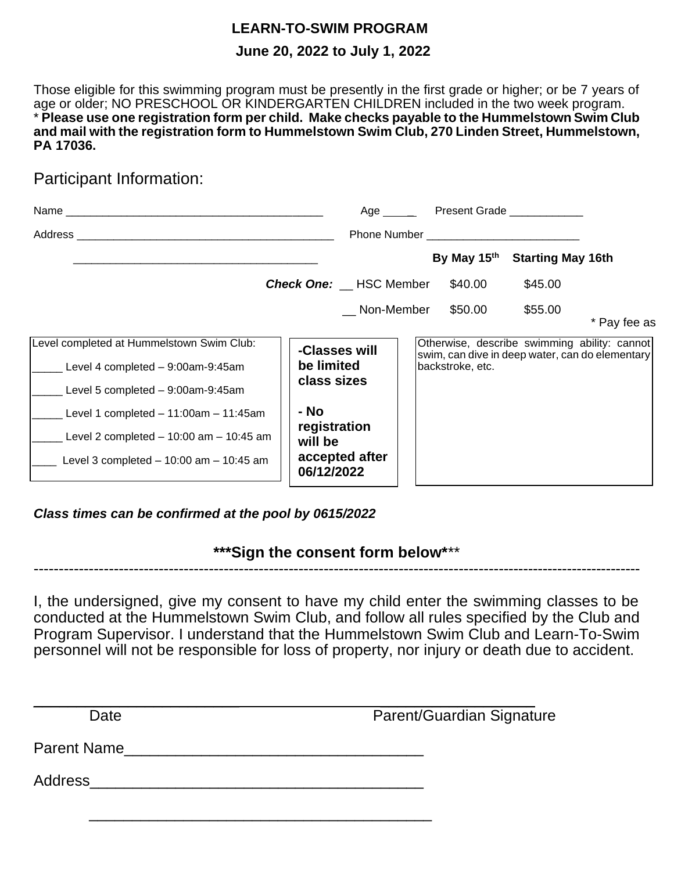## **LEARN-TO-SWIM PROGRAM June 20, 2022 to July 1, 2022**

Those eligible for this swimming program must be presently in the first grade or higher; or be 7 years of age or older; NO PRESCHOOL OR KINDERGARTEN CHILDREN included in the two week program. \* **Please use one registration form per child. Make checks payable to the Hummelstown Swim Club and mail with the registration form to Hummelstown Swim Club, 270 Linden Street, Hummelstown, PA 17036.**

### Participant Information:

| Address                                                                                                                             |                                                                 | <b>Phone Number Example 2018</b>                                                                                    |                                           |              |
|-------------------------------------------------------------------------------------------------------------------------------------|-----------------------------------------------------------------|---------------------------------------------------------------------------------------------------------------------|-------------------------------------------|--------------|
|                                                                                                                                     |                                                                 |                                                                                                                     | By May 15 <sup>th</sup> Starting May 16th |              |
|                                                                                                                                     | <b>Check One:</b> __ HSC Member                                 | \$40.00                                                                                                             | \$45.00                                   |              |
|                                                                                                                                     | Non-Member                                                      | \$50.00                                                                                                             | \$55.00                                   | * Pay fee as |
| Level completed at Hummelstown Swim Club:<br>Level 4 completed - 9:00am-9:45am<br>Level 5 completed - 9:00am-9:45am                 | -Classes will<br>be limited<br>class sizes                      | Otherwise, describe swimming ability: cannot<br>swim, can dive in deep water, can do elementary<br>backstroke, etc. |                                           |              |
| Level 1 completed $-11:00$ am $-11:45$ am<br>Level 2 completed $-10:00$ am $-10:45$ am<br>Level 3 completed $-10:00$ am $-10:45$ am | - No<br>registration<br>will be<br>accepted after<br>06/12/2022 |                                                                                                                     |                                           |              |

*Class times can be confirmed at the pool by 0615/2022*

### **\*\*\*Sign the consent form below\***\*\* --------------------------------------------------------------------------------------------------------------------------

I, the undersigned, give my consent to have my child enter the swimming classes to be conducted at the Hummelstown Swim Club, and follow all rules specified by the Club and Program Supervisor. I understand that the Hummelstown Swim Club and Learn-To-Swim personnel will not be responsible for loss of property, nor injury or death due to accident.

 $\overline{\phantom{a}}$  , and the contract of the contract of the contract of the contract of the contract of the contract of the contract of the contract of the contract of the contract of the contract of the contract of the contrac Date **Date** Parent/Guardian Signature

Parent Name\_\_\_\_\_\_\_\_\_\_\_\_\_\_\_\_\_\_\_\_\_\_\_\_\_\_\_\_\_\_\_\_\_\_\_

 $\frac{1}{\sqrt{2}}$  ,  $\frac{1}{\sqrt{2}}$  ,  $\frac{1}{\sqrt{2}}$  ,  $\frac{1}{\sqrt{2}}$  ,  $\frac{1}{\sqrt{2}}$  ,  $\frac{1}{\sqrt{2}}$  ,  $\frac{1}{\sqrt{2}}$  ,  $\frac{1}{\sqrt{2}}$  ,  $\frac{1}{\sqrt{2}}$  ,  $\frac{1}{\sqrt{2}}$  ,  $\frac{1}{\sqrt{2}}$  ,  $\frac{1}{\sqrt{2}}$  ,  $\frac{1}{\sqrt{2}}$  ,  $\frac{1}{\sqrt{2}}$  ,  $\frac{1}{\sqrt{2}}$ 

Address\_\_\_\_\_\_\_\_\_\_\_\_\_\_\_\_\_\_\_\_\_\_\_\_\_\_\_\_\_\_\_\_\_\_\_\_\_\_\_